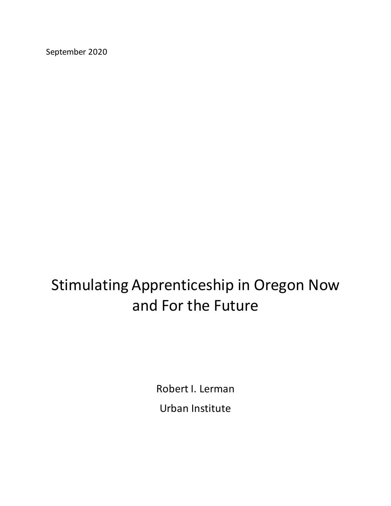September 2020

# Stimulating Apprenticeship in Oregon Now and For the Future

Robert I. Lerman Urban Institute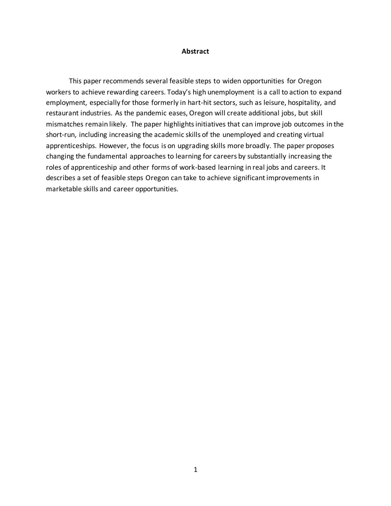#### **Abstract**

This paper recommends several feasible steps to widen opportunities for Oregon workers to achieve rewarding careers. Today's high unemployment is a call to action to expand employment, especially for those formerly in hart-hit sectors, such as leisure, hospitality, and restaurant industries. As the pandemic eases, Oregon will create additional jobs, but skill mismatches remain likely. The paper highlights initiatives that can improve job outcomes in the short-run, including increasing the academic skills of the unemployed and creating virtual apprenticeships. However, the focus is on upgrading skills more broadly. The paper proposes changing the fundamental approaches to learning for careers by substantially increasing the roles of apprenticeship and other forms of work-based learning in real jobs and careers. It describes a set of feasible steps Oregon can take to achieve significant improvements in marketable skills and career opportunities.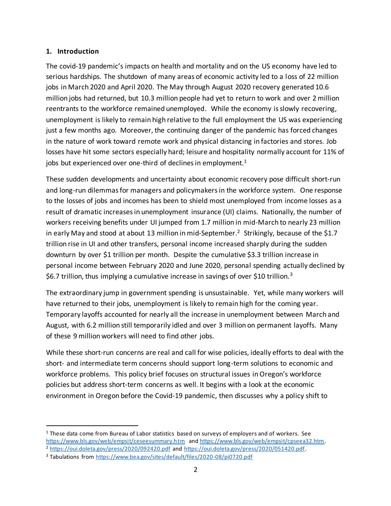#### **1. Introduction**

The covid-19 pandemic's impacts on health and mortality and on the US economy have led to serious hardships. The shutdown of many areas of economic activity led to a loss of 22 million jobs in March 2020 and April 2020. The May through August 2020 recovery generated 10.6 million jobs had returned, but 10.3 million people had yet to return to work and over 2 million reentrants to the workforce remained unemployed. While the economy is slowly recovering, unemployment is likely to remain high relative to the full employment the US was experiencing just a few months ago. Moreover, the continuing danger of the pandemic has forced changes in the nature of work toward remote work and physical distancing in factories and stores. Job losses have hit some sectors especially hard; leisure and hospitality normally account for 11% of jobs but experienced over one-third of declines in employment. $1$ 

These sudden developments and uncertainty about economic recovery pose difficult short-run and long-run dilemmas for managers and policymakers in the workforce system. One response to the losses of jobs and incomes has been to shield most unemployed from income losses as a result of dramatic increases in unemployment insurance (UI) claims. Nationally, the number of workers receiving benefits under UI jumped from 1.7 million in mid-March to nearly 23 million in early May and stood at about 13 million in mid-September. 2 Strikingly, because of the \$1.7 trillion rise in UI and other transfers, personal income increased sharply during the sudden downturn by over \$1 trillion per month. Despite the cumulative \$3.3 trillion increase in personal income between February 2020 and June 2020, personal spending actually declined by \$6.7 trillion, thus implying a cumulative increase in savings of over \$10 trillion.<sup>3</sup>

The extraordinary jump in government spending is unsustainable. Yet, while many workers will have returned to their jobs, unemployment is likely to remain high for the coming year. Temporary layoffs accounted for nearly all the increase in unemployment between March and August, with 6.2 million still temporarily idled and over 3 million on permanent layoffs. Many of these 9 million workers will need to find other jobs.

While these short-run concerns are real and call for wise policies, ideally efforts to deal with the short- and intermediate term concerns should support long-term solutions to economic and workforce problems. This policy brief focuses on structural issues in Oregon's workforce policies but address short-term concerns as well. It begins with a look at the economic environment in Oregon before the Covid-19 pandemic, then discusses why a policy shift to

 $1$  These data come from Bureau of Labor statistics based on surveys of employers and of workers. See <https://www.bls.gov/web/empsit/ceseesummary.htm> an[d https://www.bls.gov/web/empsit/cpseea32.htm.](https://www.bls.gov/web/empsit/cpseea32.htm)  <sup>2</sup> <https://oui.doleta.gov/press/2020/092420.pdf> an[d https://oui.doleta.gov/press/2020/051420.pdf.](https://oui.doleta.gov/press/2020/051420.pdf)

<sup>3</sup> Tabulations fro[m https://www.bea.gov/sites/default/files/2020-08/pi0720.pdf](https://www.bea.gov/sites/default/files/2020-08/pi0720.pdf)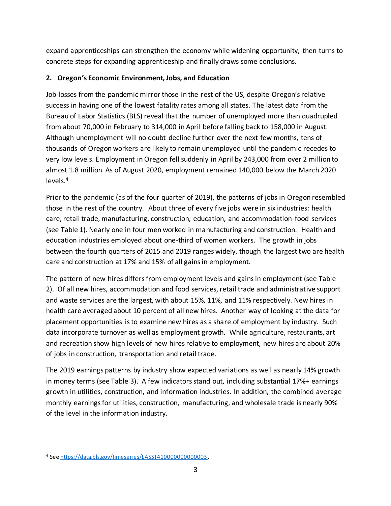expand apprenticeships can strengthen the economy while widening opportunity, then turns to concrete steps for expanding apprenticeship and finally draws some conclusions.

# **2. Oregon's Economic Environment, Jobs, and Education**

Job losses from the pandemic mirror those in the rest of the US, despite Oregon's relative success in having one of the lowest fatality rates among all states. The latest data from the Bureau of Labor Statistics (BLS) reveal that the number of unemployed more than quadrupled from about 70,000 in February to 314,000 in April before falling back to 158,000 in August. Although unemployment will no doubt decline further over the next few months, tens of thousands of Oregon workers are likely to remain unemployed until the pandemic recedes to very low levels. Employment in Oregon fell suddenly in April by 243,000 from over 2 million to almost 1.8 million. As of August 2020, employment remained 140,000 below the March 2020 levels.<sup>4</sup>

Prior to the pandemic (as of the four quarter of 2019), the patterns of jobs in Oregon resembled those in the rest of the country. About three of every five jobs were in six industries: health care, retail trade, manufacturing, construction, education, and accommodation-food services (see Table 1). Nearly one in four men worked in manufacturing and construction. Health and education industries employed about one-third of women workers. The growth in jobs between the fourth quarters of 2015 and 2019 ranges widely, though the largest two are health care and construction at 17% and 15% of all gains in employment.

The pattern of new hires differs from employment levels and gains in employment (see Table 2). Of all new hires, accommodation and food services, retail trade and administrative support and waste services are the largest, with about 15%, 11%, and 11% respectively. New hires in health care averaged about 10 percent of all new hires. Another way of looking at the data for placement opportunities is to examine new hires as a share of employment by industry. Such data incorporate turnover as well as employment growth. While agriculture, restaurants, art and recreation show high levels of new hires relative to employment, new hires are about 20% of jobs in construction, transportation and retail trade.

The 2019 earnings patterns by industry show expected variations as well as nearly 14% growth in money terms (see Table 3). A few indicators stand out, including substantial 17%+ earnings growth in utilities, construction, and information industries. In addition, the combined average monthly earnings for utilities, construction, manufacturing, and wholesale trade is nearly 90% of the level in the information industry.

<sup>4</sup> Se[e https://data.bls.gov/timeseries/LASST410000000000003.](https://data.bls.gov/timeseries/LASST410000000000003)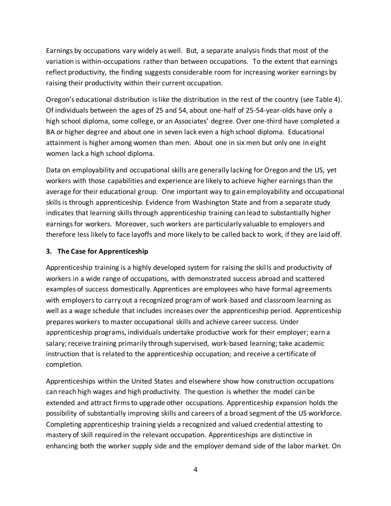Earnings by occupations vary widely as well. But, a separate analysis finds that most of the variation is within-occupations rather than between occupations. To the extent that earnings reflect productivity, the finding suggests considerable room for increasing worker earnings by raising their productivity within their current occupation.

Oregon's educational distribution is like the distribution in the rest of the country (see Table 4). Of individuals between the ages of 25 and 54, about one-half of 25-54-year-olds have only a high school diploma, some college, or an Associates' degree. Over one-third have completed a BA or higher degree and about one in seven lack even a high school diploma. Educational attainment is higher among women than men. About one in six men but only one in eight women lack a high school diploma.

Data on employability and occupational skills are generally lacking for Oregon and the US, yet workers with those capabilities and experience are likely to achieve higher earnings than the average for their educational group. One important way to gain employability and occupational skills is through apprenticeship. Evidence from Washington State and from a separate study indicates that learning skills through apprenticeship training can lead to substantially higher earnings for workers. Moreover, such workers are particularly valuable to employers and therefore less likely to face layoffs and more likely to be called back to work, if they are laid off.

# **3. The Case for Apprenticeship**

Apprenticeship training is a highly developed system for raising the skills and productivity of workers in a wide range of occupations, with demonstrated success abroad and scattered examples of success domestically. Apprentices are employees who have formal agreements with employers to carry out a recognized program of work-based and classroom learning as well as a wage schedule that includes increases over the apprenticeship period. Apprenticeship prepares workers to master occupational skills and achieve career success. Under apprenticeship programs, individuals undertake productive work for their employer; earn a salary; receive training primarily through supervised, work‐based learning; take academic instruction that is related to the apprenticeship occupation; and receive a certificate of completion.

Apprenticeships within the United States and elsewhere show how construction occupations can reach high wages and high productivity. The question is whether the model can be extended and attract firms to upgrade other occupations. Apprenticeship expansion holds the possibility of substantially improving skills and careers of a broad segment of the US workforce. Completing apprenticeship training yields a recognized and valued credential attesting to mastery of skill required in the relevant occupation. Apprenticeships are distinctive in enhancing both the worker supply side and the employer demand side of the labor market. On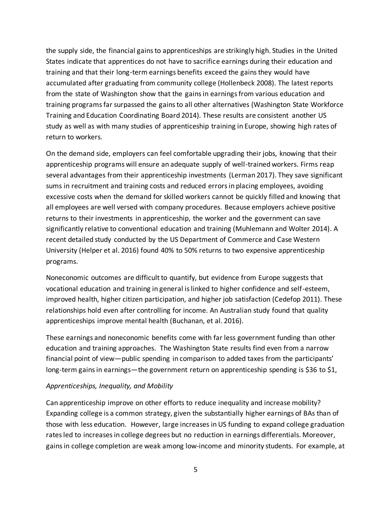the supply side, the financial gains to apprenticeships are strikingly high. Studies in the United States indicate that apprentices do not have to sacrifice earnings during their education and training and that their long-term earnings benefits exceed the gains they would have accumulated after graduating from community college (Hollenbeck 2008). The latest reports from the state of Washington show that the gains in earnings from various education and training programs far surpassed the gains to all other alternatives (Washington State Workforce Training and Education Coordinating Board 2014). These results are consistent another US study as well as with many studies of apprenticeship training in Europe, showing high rates of return to workers.

On the demand side, employers can feel comfortable upgrading their jobs, knowing that their apprenticeship programs will ensure an adequate supply of well-trained workers. Firms reap several advantages from their apprenticeship investments (Lerman 2017). They save significant sums in recruitment and training costs and reduced errors in placing employees, avoiding excessive costs when the demand for skilled workers cannot be quickly filled and knowing that all employees are well versed with company procedures. Because employers achieve positive returns to their investments in apprenticeship, the worker and the government can save significantly relative to conventional education and training (Muhlemann and Wolter 2014). A recent detailed study conducted by the US Department of Commerce and Case Western University (Helper et al. 2016) found 40% to 50% returns to two expensive apprenticeship programs.

Noneconomic outcomes are difficult to quantify, but evidence from Europe suggests that vocational education and training in general is linked to higher confidence and self-esteem, improved health, higher citizen participation, and higher job satisfaction (Cedefop 2011). These relationships hold even after controlling for income. An Australian study found that quality apprenticeships improve mental health (Buchanan, et al. 2016).

These earnings and noneconomic benefits come with far less government funding than other education and training approaches. The Washington State results find even from a narrow financial point of view—public spending in comparison to added taxes from the participants' long-term gains in earnings—the government return on apprenticeship spending is \$36 to \$1,

#### *Apprenticeships, Inequality, and Mobility*

Can apprenticeship improve on other efforts to reduce inequality and increase mobility? Expanding college is a common strategy, given the substantially higher earnings of BAs than of those with less education. However, large increases in US funding to expand college graduation rates led to increases in college degrees but no reduction in earnings differentials. Moreover, gains in college completion are weak among low-income and minority students. For example, at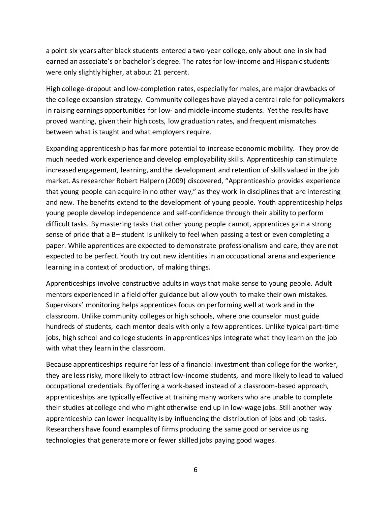a point six years after black students entered a two-year college, only about one in six had earned an associate's or bachelor's degree. The rates for low-income and Hispanic students were only slightly higher, at about 21 percent.

High college-dropout and low-completion rates, especially for males, are major drawbacks of the college expansion strategy. Community colleges have played a central role for policymakers in raising earnings opportunities for low- and middle-income students. Yet the results have proved wanting, given their high costs, low graduation rates, and frequent mismatches between what is taught and what employers require.

Expanding apprenticeship has far more potential to increase economic mobility. They provide much needed work experience and develop employability skills. Apprenticeship can stimulate increased engagement, learning, and the development and retention of skills valued in the job market. As researcher Robert Halpern (2009) discovered, "Apprenticeship provides experience that young people can acquire in no other way," as they work in disciplines that are interesting and new. The benefits extend to the development of young people. Youth apprenticeship helps young people develop independence and self-confidence through their ability to perform difficult tasks. By mastering tasks that other young people cannot, apprentices gain a strong sense of pride that a B– student is unlikely to feel when passing a test or even completing a paper. While apprentices are expected to demonstrate professionalism and care, they are not expected to be perfect. Youth try out new identities in an occupational arena and experience learning in a context of production, of making things.

Apprenticeships involve constructive adults in ways that make sense to young people. Adult mentors experienced in a field offer guidance but allow youth to make their own mistakes. Supervisors' monitoring helps apprentices focus on performing well at work and in the classroom. Unlike community colleges or high schools, where one counselor must guide hundreds of students, each mentor deals with only a few apprentices. Unlike typical part-time jobs, high school and college students in apprenticeships integrate what they learn on the job with what they learn in the classroom.

Because apprenticeships require far less of a financial investment than college for the worker, they are less risky, more likely to attract low-income students, and more likely to lead to valued occupational credentials. By offering a work-based instead of a classroom-based approach, apprenticeships are typically effective at training many workers who are unable to complete their studies at college and who might otherwise end up in low-wage jobs. Still another way apprenticeship can lower inequality is by influencing the distribution of jobs and job tasks. Researchers have found examples of firms producing the same good or service using technologies that generate more or fewer skilled jobs paying good wages.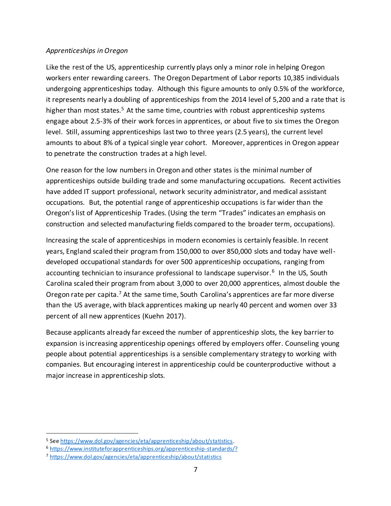#### *Apprenticeships in Oregon*

Like the rest of the US, apprenticeship currently plays only a minor role in helping Oregon workers enter rewarding careers. The Oregon Department of Labor reports 10,385 individuals undergoing apprenticeships today. Although this figure amounts to only 0.5% of the workforce, it represents nearly a doubling of apprenticeships from the 2014 level of 5,200 and a rate that is higher than most states.<sup>5</sup> At the same time, countries with robust apprenticeship systems engage about 2.5-3% of their work forces in apprentices, or about five to six times the Oregon level. Still, assuming apprenticeships last two to three years (2.5 years), the current level amounts to about 8% of a typical single year cohort. Moreover, apprentices in Oregon appear to penetrate the construction trades at a high level.

One reason for the low numbers in Oregon and other states is the minimal number of apprenticeships outside building trade and some manufacturing occupations. Recent activities have added IT support professional, network security administrator, and medical assistant occupations. But, the potential range of apprenticeship occupations is far wider than the Oregon's list of Apprenticeship Trades. (Using the term "Trades" indicates an emphasis on construction and selected manufacturing fields compared to the broader term, occupations).

Increasing the scale of apprenticeships in modern economies is certainly feasible. In recent years, England scaled their program from 150,000 to over 850,000 slots and today have welldeveloped occupational standards for over 500 apprenticeship occupations, ranging from accounting technician to insurance professional to landscape supervisor.<sup>6</sup> In the US, South Carolina scaled their program from about 3,000 to over 20,000 apprentices, almost double the Oregon rate per capita.<sup>7</sup> At the same time, South Carolina's apprentices are far more diverse than the US average, with black apprentices making up nearly 40 percent and women over 33 percent of all new apprentices (Kuehn 2017).

Because applicants already far exceed the number of apprenticeship slots, the key barrier to expansion is increasing apprenticeship openings offered by employers offer. Counseling young people about potential apprenticeships is a sensible complementary strategy to working with companies. But encouraging interest in apprenticeship could be counterproductive without a major increase in apprenticeship slots.

<sup>5</sup> Se[e https://www.dol.gov/agencies/eta/apprenticeship/about/statistics.](https://www.dol.gov/agencies/eta/apprenticeship/about/statistics)

<sup>6</sup> <https://www.instituteforapprenticeships.org/apprenticeship-standards/?>

<sup>7</sup> <https://www.dol.gov/agencies/eta/apprenticeship/about/statistics>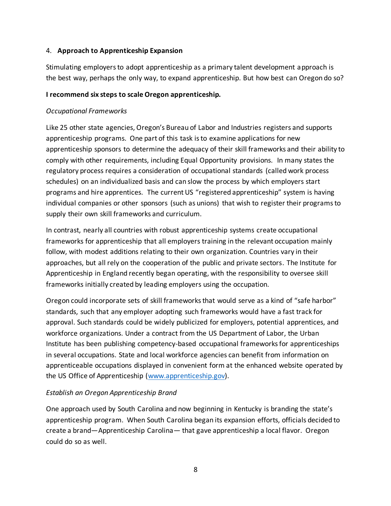#### 4. **Approach to Apprenticeship Expansion**

Stimulating employers to adopt apprenticeship as a primary talent development approach is the best way, perhaps the only way, to expand apprenticeship. But how best can Oregon do so?

#### **I recommend six steps to scale Oregon apprenticeship.**

### *Occupational Frameworks*

Like 25 other state agencies, Oregon's Bureau of Labor and Industries registers and supports apprenticeship programs. One part of this task is to examine applications for new apprenticeship sponsors to determine the adequacy of their skill frameworks and their ability to comply with other requirements, including Equal Opportunity provisions. In many states the regulatory process requires a consideration of occupational standards (called work process schedules) on an individualized basis and can slow the process by which employers start programs and hire apprentices. The current US "registered apprenticeship" system is having individual companies or other sponsors (such as unions) that wish to register their programs to supply their own skill frameworks and curriculum.

In contrast, nearly all countries with robust apprenticeship systems create occupational frameworks for apprenticeship that all employers training in the relevant occupation mainly follow, with modest additions relating to their own organization. Countries vary in their approaches, but all rely on the cooperation of the public and private sectors. The Institute for Apprenticeship in England recently began operating, with the responsibility to oversee skill frameworks initially created by leading employers using the occupation.

Oregon could incorporate sets of skill frameworks that would serve as a kind of "safe harbor" standards, such that any employer adopting such frameworks would have a fast track for approval. Such standards could be widely publicized for employers, potential apprentices, and workforce organizations. Under a contract from the US Department of Labor, the Urban Institute has been publishing competency-based occupational frameworks for apprenticeships in several occupations. State and local workforce agencies can benefit from information on apprenticeable occupations displayed in convenient form at the enhanced website operated by the US Office of Apprenticeship [\(www.apprenticeship.g](http://www.apprenticeship./)ov).

# *Establish an Oregon Apprenticeship Brand*

One approach used by South Carolina and now beginning in Kentucky is branding the state's apprenticeship program. When South Carolina began its expansion efforts, officials decided to create a brand—Apprenticeship Carolina— that gave apprenticeship a local flavor. Oregon could do so as well.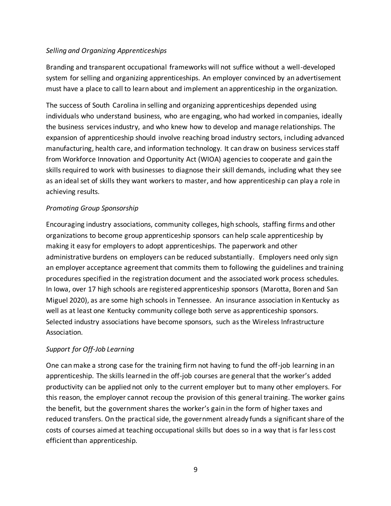# *Selling and Organizing Apprenticeships*

Branding and transparent occupational frameworks will not suffice without a well-developed system for selling and organizing apprenticeships. An employer convinced by an advertisement must have a place to call to learn about and implement an apprenticeship in the organization.

The success of South Carolina in selling and organizing apprenticeships depended using individuals who understand business, who are engaging, who had worked in companies, ideally the business services industry, and who knew how to develop and manage relationships. The expansion of apprenticeship should involve reaching broad industry sectors, including advanced manufacturing, health care, and information technology. It can draw on business services staff from Workforce Innovation and Opportunity Act (WIOA) agencies to cooperate and gain the skills required to work with businesses to diagnose their skill demands, including what they see as an ideal set of skills they want workers to master, and how apprenticeship can play a role in achieving results.

# *Promoting Group Sponsorship*

Encouraging industry associations, community colleges, high schools, staffing firms and other organizations to become group apprenticeship sponsors can help scale apprenticeship by making it easy for employers to adopt apprenticeships. The paperwork and other administrative burdens on employers can be reduced substantially. Employers need only sign an employer acceptance agreement that commits them to following the guidelines and training procedures specified in the registration document and the associated work process schedules. In Iowa, over 17 high schools are registered apprenticeship sponsors (Marotta, Boren and San Miguel 2020), as are some high schools in Tennessee. An insurance association in Kentucky as well as at least one Kentucky community college both serve as apprenticeship sponsors. Selected industry associations have become sponsors, such as the Wireless Infrastructure Association.

# *Support for Off-Job Learning*

One can make a strong case for the training firm not having to fund the off-job learning in an apprenticeship. The skills learned in the off-job courses are general that the worker's added productivity can be applied not only to the current employer but to many other employers. For this reason, the employer cannot recoup the provision of this general training. The worker gains the benefit, but the government shares the worker's gain in the form of higher taxes and reduced transfers. On the practical side, the government already funds a significant share of the costs of courses aimed at teaching occupational skills but does so in a way that is far less cost efficient than apprenticeship.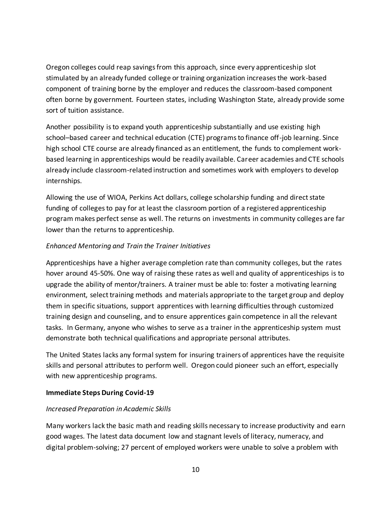Oregon colleges could reap savings from this approach, since every apprenticeship slot stimulated by an already funded college or training organization increases the work-based component of training borne by the employer and reduces the classroom-based component often borne by government. Fourteen states, including Washington State, already provide some sort of tuition assistance.

Another possibility is to expand youth apprenticeship substantially and use existing high school–based career and technical education (CTE) programs to finance off-job learning. Since high school CTE course are already financed as an entitlement, the funds to complement workbased learning in apprenticeships would be readily available. Career academies and CTE schools already include classroom-related instruction and sometimes work with employers to develop internships.

Allowing the use of WIOA, Perkins Act dollars, college scholarship funding and direct state funding of colleges to pay for at least the classroom portion of a registered apprenticeship program makes perfect sense as well. The returns on investments in community colleges are far lower than the returns to apprenticeship.

# *Enhanced Mentoring and Train the Trainer Initiatives*

Apprenticeships have a higher average completion rate than community colleges, but the rates hover around 45-50%. One way of raising these rates as well and quality of apprenticeships is to upgrade the ability of mentor/trainers. A trainer must be able to: foster a motivating learning environment, select training methods and materials appropriate to the target group and deploy them in specific situations, support apprentices with learning difficulties through customized training design and counseling, and to ensure apprentices gain competence in all the relevant tasks. In Germany, anyone who wishes to serve as a trainer in the apprenticeship system must demonstrate both technical qualifications and appropriate personal attributes.

The United States lacks any formal system for insuring trainers of apprentices have the requisite skills and personal attributes to perform well. Oregon could pioneer such an effort, especially with new apprenticeship programs.

# **Immediate Steps During Covid-19**

# *Increased Preparation in Academic Skills*

Many workers lack the basic math and reading skills necessary to increase productivity and earn good wages. The latest data document low and stagnant levels of literacy, numeracy, and digital problem-solving; 27 percent of employed workers were unable to solve a problem with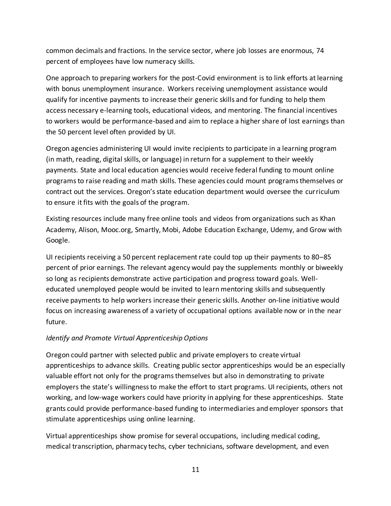common decimals and fractions. In the service sector, where job losses are enormous, 74 percent of employees have low numeracy skills.

One approach to preparing workers for the post-Covid environment is to link efforts at learning with bonus unemployment insurance. Workers receiving unemployment assistance would qualify for incentive payments to increase their generic skills and for funding to help them access necessary e-learning tools, educational videos, and mentoring. The financial incentives to workers would be performance-based and aim to replace a higher share of lost earnings than the 50 percent level often provided by UI.

Oregon agencies administering UI would invite recipients to participate in a learning program (in math, reading, digital skills, or language) in return for a supplement to their weekly payments. State and local education agencies would receive federal funding to mount online programs to raise reading and math skills. These agencies could mount programs themselves or contract out the services. Oregon's state education department would oversee the curriculum to ensure it fits with the goals of the program.

Existing resources include many free online tools and videos from organizations such as Khan Academy, Alison, Mooc.org, Smartly, Mobi, Adobe Education Exchange, Udemy, and Grow with Google.

UI recipients receiving a 50 percent replacement rate could top up their payments to 80–85 percent of prior earnings. The relevant agency would pay the supplements monthly or biweekly so long as recipients demonstrate active participation and progress toward goals. Welleducated unemployed people would be invited to learn mentoring skills and subsequently receive payments to help workers increase their generic skills. Another on-line initiative would focus on increasing awareness of a variety of occupational options available now or in the near future.

# *Identify and Promote Virtual Apprenticeship Options*

Oregon could partner with selected public and private employers to create virtual apprenticeships to advance skills. Creating public sector apprenticeships would be an especially valuable effort not only for the programs themselves but also in demonstrating to private employers the state's willingness to make the effort to start programs. UI recipients, others not working, and low-wage workers could have priority in applying for these apprenticeships. State grants could provide performance-based funding to intermediaries and employer sponsors that stimulate apprenticeships using online learning.

Virtual apprenticeships show promise for several occupations, including medical coding, medical transcription, pharmacy techs, cyber technicians, software development, and even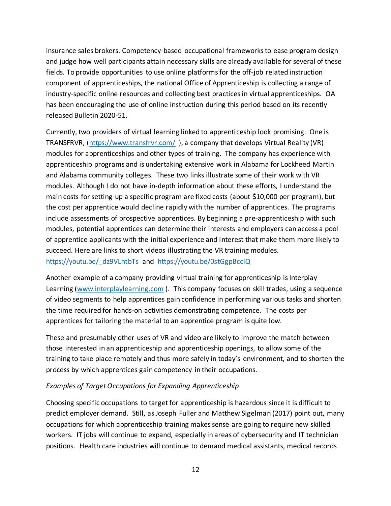insurance sales brokers. Competency-based occupational frameworks to ease program design and judge how well participants attain necessary skills are already available for several of these fields. To provide opportunities to use online platforms for the off-job related instruction component of apprenticeships, the national Office of Apprenticeship is collecting a range of industry-specific online resources and collecting best practices in virtual apprenticeships. OA has been encouraging the use of online instruction during this period based on its recently released Bulletin 2020-51.

Currently, two providers of virtual learning linked to apprenticeship look promising. One is TRANSFRVR, [\(https://www.transfrvr.com/](https://www.transfrvr.com/) ), a company that develops Virtual Reality (VR) modules for apprenticeships and other types of training. The company has experience with apprenticeship programs and is undertaking extensive work in Alabama for Lockheed Martin and Alabama community colleges. These two links illustrate some of their work with VR modules. Although I do not have in-depth information about these efforts, I understand the main costs for setting up a specific program are fixed costs (about \$10,000 per program), but the cost per apprentice would decline rapidly with the number of apprentices. The programs include assessments of prospective apprentices. By beginning a pre-apprenticeship with such modules, potential apprentices can determine their interests and employers can access a pool of apprentice applicants with the initial experience and interest that make them more likely to succeed. Here are links to short videos illustrating the VR training modules.

# https://youtu.be/ dz9VLhtbTs and <https://youtu.be/0stGgpBcclQ>

Another example of a company providing virtual training for apprenticeship is Interplay Learning [\(www.interplaylearning.com](http://www.interplaylearning.com/)). This company focuses on skill trades, using a sequence of video segments to help apprentices gain confidence in performing various tasks and shorten the time required for hands-on activities demonstrating competence. The costs per apprentices for tailoring the material to an apprentice program is quite low.

These and presumably other uses of VR and video are likely to improve the match between those interested in an apprenticeship and apprenticeship openings, to allow some of the training to take place remotely and thus more safely in today's environment, and to shorten the process by which apprentices gain competency in their occupations.

# *Examples of Target Occupations for Expanding Apprenticeship*

Choosing specific occupations to target for apprenticeship is hazardous since it is difficult to predict employer demand. Still, as Joseph Fuller and Matthew Sigelman (2017) point out, many occupations for which apprenticeship training makes sense are going to require new skilled workers. IT jobs will continue to expand, especially in areas of cybersecurity and IT technician positions. Health care industries will continue to demand medical assistants, medical records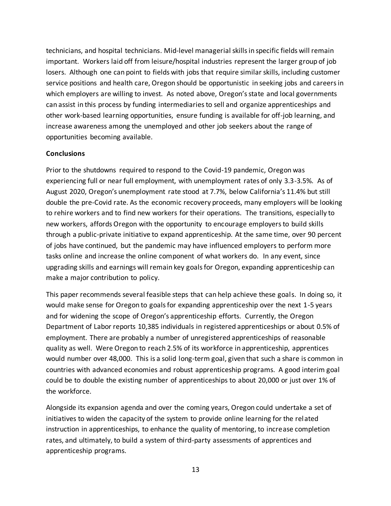technicians, and hospital technicians. Mid-level managerial skills in specific fields will remain important. Workers laid off from leisure/hospital industries represent the larger group of job losers. Although one can point to fields with jobs that require similar skills, including customer service positions and health care, Oregon should be opportunistic in seeking jobs and careers in which employers are willing to invest. As noted above, Oregon's state and local governments can assist in this process by funding intermediaries to sell and organize apprenticeships and other work-based learning opportunities, ensure funding is available for off-job learning, and increase awareness among the unemployed and other job seekers about the range of opportunities becoming available.

#### **Conclusions**

Prior to the shutdowns required to respond to the Covid-19 pandemic, Oregon was experiencing full or near full employment, with unemployment rates of only 3.3-3.5%. As of August 2020, Oregon's unemployment rate stood at 7.7%, below California's 11.4% but still double the pre-Covid rate. As the economic recovery proceeds, many employers will be looking to rehire workers and to find new workers for their operations. The transitions, especially to new workers, affords Oregon with the opportunity to encourage employers to build skills through a public-private initiative to expand apprenticeship. At the same time, over 90 percent of jobs have continued, but the pandemic may have influenced employers to perform more tasks online and increase the online component of what workers do. In any event, since upgrading skills and earnings will remain key goals for Oregon, expanding apprenticeship can make a major contribution to policy.

This paper recommends several feasible steps that can help achieve these goals. In doing so, it would make sense for Oregon to goals for expanding apprenticeship over the next 1-5 years and for widening the scope of Oregon's apprenticeship efforts. Currently, the Oregon Department of Labor reports 10,385 individuals in registered apprenticeships or about 0.5% of employment. There are probably a number of unregistered apprenticeships of reasonable quality as well. Were Oregon to reach 2.5% of its workforce in apprenticeship, apprentices would number over 48,000. This is a solid long-term goal, given that such a share is common in countries with advanced economies and robust apprenticeship programs. A good interim goal could be to double the existing number of apprenticeships to about 20,000 or just over 1% of the workforce.

Alongside its expansion agenda and over the coming years, Oregon could undertake a set of initiatives to widen the capacity of the system to provide online learning for the related instruction in apprenticeships, to enhance the quality of mentoring, to increase completion rates, and ultimately, to build a system of third-party assessments of apprentices and apprenticeship programs.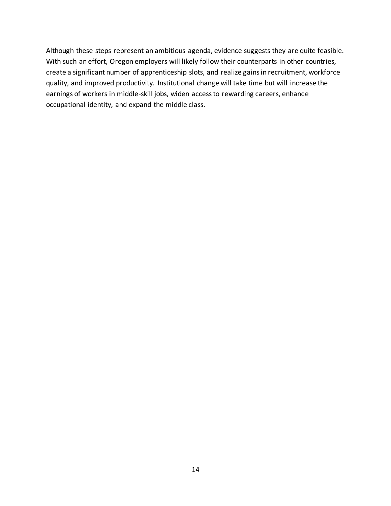Although these steps represent an ambitious agenda, evidence suggests they are quite feasible. With such an effort, Oregon employers will likely follow their counterparts in other countries, create a significant number of apprenticeship slots, and realize gains in recruitment, workforce quality, and improved productivity. Institutional change will take time but will increase the earnings of workers in middle-skill jobs, widen access to rewarding careers, enhance occupational identity, and expand the middle class.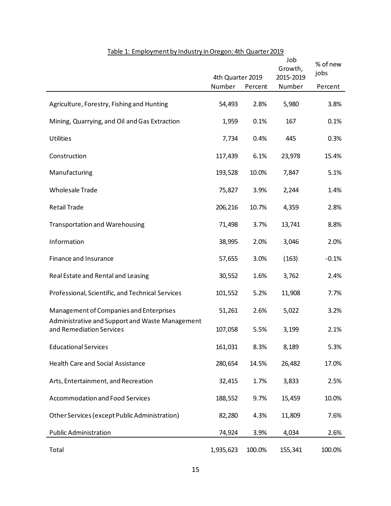|                                                                                            | 4th Quarter 2019 |         | Job<br>Growth,<br>2015-2019 | % of new<br>jobs |
|--------------------------------------------------------------------------------------------|------------------|---------|-----------------------------|------------------|
|                                                                                            | Number           | Percent | Number                      | Percent          |
| Agriculture, Forestry, Fishing and Hunting                                                 | 54,493           | 2.8%    | 5,980                       | 3.8%             |
| Mining, Quarrying, and Oil and Gas Extraction                                              | 1,959            | 0.1%    | 167                         | 0.1%             |
| <b>Utilities</b>                                                                           | 7,734            | 0.4%    | 445                         | 0.3%             |
| Construction                                                                               | 117,439          | 6.1%    | 23,978                      | 15.4%            |
| Manufacturing                                                                              | 193,528          | 10.0%   | 7,847                       | 5.1%             |
| <b>Wholesale Trade</b>                                                                     | 75,827           | 3.9%    | 2,244                       | 1.4%             |
| <b>Retail Trade</b>                                                                        | 206,216          | 10.7%   | 4,359                       | 2.8%             |
| <b>Transportation and Warehousing</b>                                                      | 71,498           | 3.7%    | 13,741                      | 8.8%             |
| Information                                                                                | 38,995           | 2.0%    | 3,046                       | 2.0%             |
| Finance and Insurance                                                                      | 57,655           | 3.0%    | (163)                       | $-0.1%$          |
| Real Estate and Rental and Leasing                                                         | 30,552           | 1.6%    | 3,762                       | 2.4%             |
| Professional, Scientific, and Technical Services                                           | 101,552          | 5.2%    | 11,908                      | 7.7%             |
| Management of Companies and Enterprises<br>Administrative and Support and Waste Management | 51,261           | 2.6%    | 5,022                       | 3.2%             |
| and Remediation Services                                                                   | 107,058          | 5.5%    | 3,199                       | 2.1%             |
| <b>Educational Services</b>                                                                | 161,031          | 8.3%    | 8,189                       | 5.3%             |
| Health Care and Social Assistance                                                          | 280,654          | 14.5%   | 26,482                      | 17.0%            |
| Arts, Entertainment, and Recreation                                                        | 32,415           | 1.7%    | 3,833                       | 2.5%             |
| <b>Accommodation and Food Services</b>                                                     | 188,552          | 9.7%    | 15,459                      | 10.0%            |
| Other Services (except Public Administration)                                              | 82,280           | 4.3%    | 11,809                      | 7.6%             |
| <b>Public Administration</b>                                                               | 74,924           | 3.9%    | 4,034                       | 2.6%             |
| Total                                                                                      | 1,935,623        | 100.0%  | 155,341                     | 100.0%           |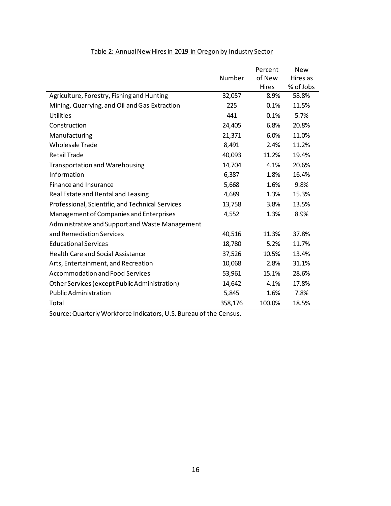|                                                  |         | Percent      | <b>New</b> |
|--------------------------------------------------|---------|--------------|------------|
|                                                  | Number  | of New       | Hires as   |
|                                                  |         | <b>Hires</b> | % of Jobs  |
| Agriculture, Forestry, Fishing and Hunting       | 32,057  | 8.9%         | 58.8%      |
| Mining, Quarrying, and Oil and Gas Extraction    | 225     | 0.1%         | 11.5%      |
| Utilities                                        | 441     | 0.1%         | 5.7%       |
| Construction                                     | 24,405  | 6.8%         | 20.8%      |
| Manufacturing                                    | 21,371  | 6.0%         | 11.0%      |
| <b>Wholesale Trade</b>                           | 8,491   | 2.4%         | 11.2%      |
| <b>Retail Trade</b>                              | 40,093  | 11.2%        | 19.4%      |
| <b>Transportation and Warehousing</b>            | 14,704  | 4.1%         | 20.6%      |
| Information                                      | 6,387   | 1.8%         | 16.4%      |
| Finance and Insurance                            | 5,668   | 1.6%         | 9.8%       |
| Real Estate and Rental and Leasing               | 4,689   | 1.3%         | 15.3%      |
| Professional, Scientific, and Technical Services | 13,758  | 3.8%         | 13.5%      |
| Management of Companies and Enterprises          | 4,552   | 1.3%         | 8.9%       |
| Administrative and Support and Waste Management  |         |              |            |
| and Remediation Services                         | 40,516  | 11.3%        | 37.8%      |
| <b>Educational Services</b>                      | 18,780  | 5.2%         | 11.7%      |
| <b>Health Care and Social Assistance</b>         | 37,526  | 10.5%        | 13.4%      |
| Arts, Entertainment, and Recreation              | 10,068  | 2.8%         | 31.1%      |
| <b>Accommodation and Food Services</b>           | 53,961  | 15.1%        | 28.6%      |
| Other Services (except Public Administration)    | 14,642  | 4.1%         | 17.8%      |
| <b>Public Administration</b>                     | 5,845   | 1.6%         | 7.8%       |
| Total                                            | 358,176 | 100.0%       | 18.5%      |

### Table 2: Annual New Hires in 2019 in Oregon by Industry Sector

Source: Quarterly Workforce Indicators, U.S. Bureau of the Census.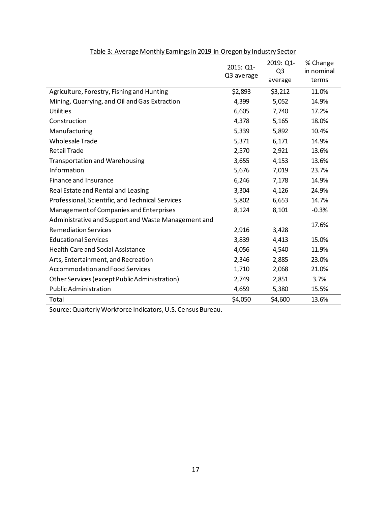|                                                     | 2015: Q1-<br>Q3 average | 2019: Q1-<br>Q <sub>3</sub><br>average | % Change<br>in nominal<br>terms |
|-----------------------------------------------------|-------------------------|----------------------------------------|---------------------------------|
| Agriculture, Forestry, Fishing and Hunting          | \$2,893                 | \$3,212                                | 11.0%                           |
| Mining, Quarrying, and Oil and Gas Extraction       | 4,399                   | 5,052                                  | 14.9%                           |
| <b>Utilities</b>                                    | 6,605                   | 7,740                                  | 17.2%                           |
| Construction                                        | 4,378                   | 5,165                                  | 18.0%                           |
| Manufacturing                                       | 5,339                   | 5,892                                  | 10.4%                           |
| <b>Wholesale Trade</b>                              | 5,371                   | 6,171                                  | 14.9%                           |
| <b>Retail Trade</b>                                 | 2,570                   | 2,921                                  | 13.6%                           |
| <b>Transportation and Warehousing</b>               | 3,655                   | 4,153                                  | 13.6%                           |
| Information                                         | 5,676                   | 7,019                                  | 23.7%                           |
| Finance and Insurance                               | 6,246                   | 7,178                                  | 14.9%                           |
| Real Estate and Rental and Leasing                  | 3,304                   | 4,126                                  | 24.9%                           |
| Professional, Scientific, and Technical Services    | 5,802                   | 6,653                                  | 14.7%                           |
| Management of Companies and Enterprises             | 8,124                   | 8,101                                  | $-0.3%$                         |
| Administrative and Support and Waste Management and |                         |                                        | 17.6%                           |
| <b>Remediation Services</b>                         | 2,916                   | 3,428                                  |                                 |
| <b>Educational Services</b>                         | 3,839                   | 4,413                                  | 15.0%                           |
| <b>Health Care and Social Assistance</b>            | 4,056                   | 4,540                                  | 11.9%                           |
| Arts, Entertainment, and Recreation                 | 2,346                   | 2,885                                  | 23.0%                           |
| <b>Accommodation and Food Services</b>              | 1,710                   | 2,068                                  | 21.0%                           |
| Other Services (except Public Administration)       | 2,749                   | 2,851                                  | 3.7%                            |
| <b>Public Administration</b>                        | 4,659                   | 5,380                                  | 15.5%                           |
| Total                                               | \$4,050                 | \$4,600                                | 13.6%                           |

#### Table 3: Average Monthly Earnings in 2019 in Oregon by Industry Sector

Source: Quarterly Workforce Indicators, U.S. Census Bureau.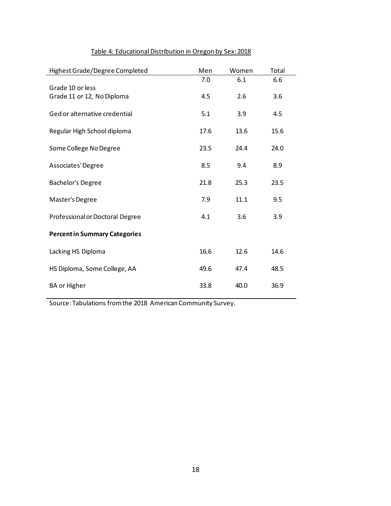| Highest Grade/Degree Completed       | Men  | Women | Total |
|--------------------------------------|------|-------|-------|
|                                      | 7.0  | 6.1   | 6.6   |
| Grade 10 or less                     |      |       |       |
| Grade 11 or 12, No Diploma           | 4.5  | 2.6   | 3.6   |
| Ged or alternative credential        | 5.1  | 3.9   | 4.5   |
| Regular High School diploma          | 17.6 | 13.6  | 15.6  |
| Some College No Degree               | 23.5 | 24.4  | 24.0  |
| Associates' Degree                   | 8.5  | 9.4   | 8.9   |
| <b>Bachelor's Degree</b>             | 21.8 | 25.3  | 23.5  |
| Master's Degree                      | 7.9  | 11.1  | 9.5   |
| Professional or Doctoral Degree      | 4.1  | 3.6   | 3.9   |
| <b>Percent in Summary Categories</b> |      |       |       |
| Lacking HS Diploma                   | 16.6 | 12.6  | 14.6  |
| HS Diploma, Some College, AA         | 49.6 | 47.4  | 48.5  |
| <b>BA or Higher</b>                  | 33.8 | 40.0  | 36.9  |

# Table 4: Educational Distribution in Oregon by Sex: 2018

Source: Tabulations from the 2018 American Community Survey.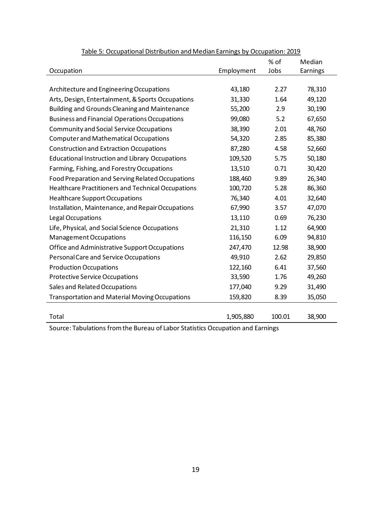|                                                           |            | % of   | Median   |
|-----------------------------------------------------------|------------|--------|----------|
| Occupation                                                | Employment | Jobs   | Earnings |
|                                                           |            |        |          |
| Architecture and Engineering Occupations                  | 43,180     | 2.27   | 78,310   |
| Arts, Design, Entertainment, & Sports Occupations         | 31,330     | 1.64   | 49,120   |
| <b>Building and Grounds Cleaning and Maintenance</b>      | 55,200     | 2.9    | 30,190   |
| <b>Business and Financial Operations Occupations</b>      | 99,080     | 5.2    | 67,650   |
| <b>Community and Social Service Occupations</b>           | 38,390     | 2.01   | 48,760   |
| <b>Computer and Mathematical Occupations</b>              | 54,320     | 2.85   | 85,380   |
| <b>Construction and Extraction Occupations</b>            | 87,280     | 4.58   | 52,660   |
| <b>Educational Instruction and Library Occupations</b>    | 109,520    | 5.75   | 50,180   |
| Farming, Fishing, and Forestry Occupations                | 13,510     | 0.71   | 30,420   |
| Food Preparation and Serving Related Occupations          | 188,460    | 9.89   | 26,340   |
| <b>Healthcare Practitioners and Technical Occupations</b> | 100,720    | 5.28   | 86,360   |
| <b>Healthcare Support Occupations</b>                     | 76,340     | 4.01   | 32,640   |
| Installation, Maintenance, and Repair Occupations         | 67,990     | 3.57   | 47,070   |
| Legal Occupations                                         | 13,110     | 0.69   | 76,230   |
| Life, Physical, and Social Science Occupations            | 21,310     | 1.12   | 64,900   |
| Management Occupations                                    | 116,150    | 6.09   | 94,810   |
| Office and Administrative Support Occupations             | 247,470    | 12.98  | 38,900   |
| Personal Care and Service Occupations                     | 49,910     | 2.62   | 29,850   |
| <b>Production Occupations</b>                             | 122,160    | 6.41   | 37,560   |
| <b>Protective Service Occupations</b>                     | 33,590     | 1.76   | 49,260   |
| Sales and Related Occupations                             | 177,040    | 9.29   | 31,490   |
| <b>Transportation and Material Moving Occupations</b>     | 159,820    | 8.39   | 35,050   |
|                                                           |            |        |          |
| Total                                                     | 1,905,880  | 100.01 | 38,900   |

#### Table 5: Occupational Distribution and Median Earnings by Occupation: 2019

Source: Tabulations from the Bureau of Labor Statistics Occupation and Earnings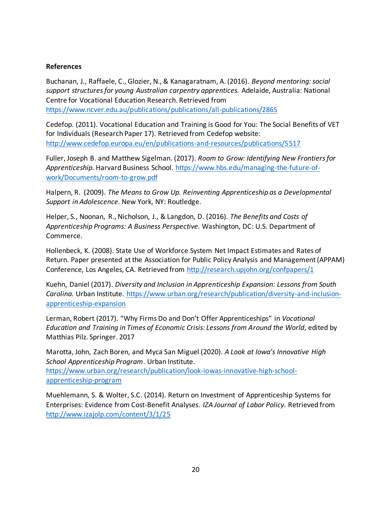#### **References**

Buchanan, J., Raffaele, C., Glozier, N., & Kanagaratnam, A. (2016). *Beyond mentoring: social support structures for young Australian carpentry apprentices.* Adelaide, Australia: National Centre for Vocational Education Research. Retrieved from <https://www.ncver.edu.au/publications/publications/all-publications/2865>

Cedefop. (2011). Vocational Education and Training is Good for You: The Social Benefits of VET for Individuals (Research Paper 17). Retrieved from Cedefop website: <http://www.cedefop.europa.eu/en/publications-and-resources/publications/5517>

Fuller, Joseph B. and Matthew Sigelman. (2017). *Room to Grow: Identifying New Frontiers for Apprenticeship.* Harvard Business School. [https://www.hbs.edu/managing-the-future-of](https://www.hbs.edu/managing-the-future-of-work/Documents/room-to-grow.pdf)[work/Documents/room-to-grow.pdf](https://www.hbs.edu/managing-the-future-of-work/Documents/room-to-grow.pdf)

Halpern, R. (2009). *The Means to Grow Up. Reinventing Apprenticeship as a Developmental Support in Adolescence.* New York, NY: Routledge.

Helper, S., Noonan, R., Nicholson, J., & Langdon, D. (2016). *The Benefits and Costs of Apprenticeship Programs: A Business Perspective.* Washington, DC: U.S. Department of Commerce.

Hollenbeck, K. (2008). State Use of Workforce System Net Impact Estimates and Rates of Return. Paper presented at the Association for Public Policy Analysis and Management (APPAM) Conference, Los Angeles, CA. Retrieved from<http://research.upjohn.org/confpapers/1>

Kuehn, Daniel (2017). *Diversity and Inclusion in Apprenticeship Expansion: Lessons from South Carolina.* Urban Institute. [https://www.urban.org/research/publication/diversity-and-inclusion](https://www.urban.org/research/publication/diversity-and-inclusion-apprenticeship-expansion)[apprenticeship-expansion](https://www.urban.org/research/publication/diversity-and-inclusion-apprenticeship-expansion)

Lerman, Robert (2017). "Why Firms Do and Don't Offer Apprenticeships" in *Vocational Education and Training in Times of Economic Crisis: Lessons from Around the World*, edited by Matthias Pilz. Springer. 2017

Marotta, John, Zach Boren, and Myca San Miguel (2020). *A Look at Iowa's Innovative High School Apprenticeship Program*. Urban Institute. [https://www.urban.org/research/publication/look-iowas-innovative-high-school](https://www.urban.org/research/publication/look-iowas-innovative-high-school-apprenticeship-program)[apprenticeship-program](https://www.urban.org/research/publication/look-iowas-innovative-high-school-apprenticeship-program)

Muehlemann, S. & Wolter, S.C. (2014). Return on Investment of Apprenticeship Systems for Enterprises: Evidence from Cost-Benefit Analyses. *IZA Journal of Labor Policy.* Retrieved from <http://www.izajolp.com/content/3/1/25>